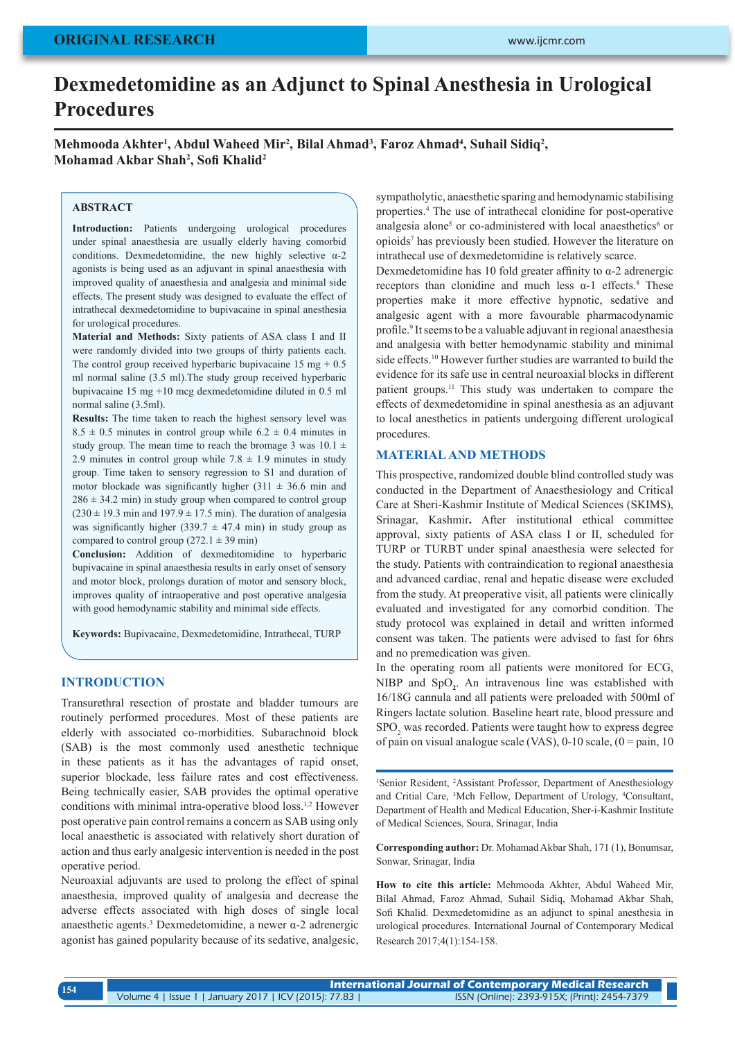# **Dexmedetomidine as an Adjunct to Spinal Anesthesia in Urological Procedures**

Mehmooda Akhter<sup>1</sup>, Abdul Waheed Mir<sup>2</sup>, Bilal Ahmad<sup>3</sup>, Faroz Ahmad<sup>4</sup>, Suhail Sidiq<sup>2</sup>, **Mohamad Akbar Shah2 , Sofi Khalid<sup>2</sup>**

# **ABSTRACT**

**Introduction:** Patients undergoing urological procedures under spinal anaesthesia are usually elderly having comorbid conditions. Dexmedetomidine, the new highly selective  $\alpha$ -2 agonists is being used as an adjuvant in spinal anaesthesia with improved quality of anaesthesia and analgesia and minimal side effects. The present study was designed to evaluate the effect of intrathecal dexmedetomidine to bupivacaine in spinal anesthesia for urological procedures.

**Material and Methods:** Sixty patients of ASA class I and II were randomly divided into two groups of thirty patients each. The control group received hyperbaric bupivacaine  $15 \text{ mg} + 0.5$ ml normal saline (3.5 ml).The study group received hyperbaric bupivacaine 15 mg +10 mcg dexmedetomidine diluted in 0.5 ml normal saline (3.5ml).

**Results:** The time taken to reach the highest sensory level was  $8.5 \pm 0.5$  minutes in control group while  $6.2 \pm 0.4$  minutes in study group. The mean time to reach the bromage 3 was  $10.1 \pm$ 2.9 minutes in control group while  $7.8 \pm 1.9$  minutes in study group. Time taken to sensory regression to S1 and duration of motor blockade was significantly higher (311  $\pm$  36.6 min and  $286 \pm 34.2$  min) in study group when compared to control group  $(230 \pm 19.3 \text{ min and } 197.9 \pm 17.5 \text{ min})$ . The duration of analgesia was significantly higher (339.7  $\pm$  47.4 min) in study group as compared to control group (272.1  $\pm$  39 min)

**Conclusion:** Addition of dexmeditomidine to hyperbaric bupivacaine in spinal anaesthesia results in early onset of sensory and motor block, prolongs duration of motor and sensory block, improves quality of intraoperative and post operative analgesia with good hemodynamic stability and minimal side effects.

**Keywords:** Bupivacaine, Dexmedetomidine, Intrathecal, TURP

# **INTRODUCTION**

Transurethral resection of prostate and bladder tumours are routinely performed procedures. Most of these patients are elderly with associated co-morbidities. Subarachnoid block (SAB) is the most commonly used anesthetic technique in these patients as it has the advantages of rapid onset, superior blockade, less failure rates and cost effectiveness. Being technically easier, SAB provides the optimal operative conditions with minimal intra-operative blood loss.<sup>1,2</sup> However post operative pain control remains a concern as SAB using only local anaesthetic is associated with relatively short duration of action and thus early analgesic intervention is needed in the post operative period.

Neuroaxial adjuvants are used to prolong the effect of spinal anaesthesia, improved quality of analgesia and decrease the adverse effects associated with high doses of single local anaesthetic agents.3 Dexmedetomidine, a newer α-2 adrenergic agonist has gained popularity because of its sedative, analgesic,

sympatholytic, anaesthetic sparing and hemodynamic stabilising properties.<sup>4</sup> The use of intrathecal clonidine for post-operative analgesia alone<sup>5</sup> or co-administered with local anaesthetics<sup>6</sup> or opioids<sup>7</sup> has previously been studied. However the literature on intrathecal use of dexmedetomidine is relatively scarce.

Dexmedetomidine has 10 fold greater affinity to  $α-2$  adrenergic receptors than clonidine and much less  $\alpha$ -1 effects.<sup>8</sup> These properties make it more effective hypnotic, sedative and analgesic agent with a more favourable pharmacodynamic profile.<sup>9</sup> It seems to be a valuable adjuvant in regional anaesthesia and analgesia with better hemodynamic stability and minimal side effects.10 However further studies are warranted to build the evidence for its safe use in central neuroaxial blocks in different patient groups.11 This study was undertaken to compare the effects of dexmedetomidine in spinal anesthesia as an adjuvant to local anesthetics in patients undergoing different urological procedures.

## **MATERIAL AND METHODS**

This prospective, randomized double blind controlled study was conducted in the Department of Anaesthesiology and Critical Care at Sheri-Kashmir Institute of Medical Sciences (SKIMS), Srinagar, Kashmir**.** After institutional ethical committee approval, sixty patients of ASA class I or II, scheduled for TURP or TURBT under spinal anaesthesia were selected for the study. Patients with contraindication to regional anaesthesia and advanced cardiac, renal and hepatic disease were excluded from the study. At preoperative visit, all patients were clinically evaluated and investigated for any comorbid condition. The study protocol was explained in detail and written informed consent was taken. The patients were advised to fast for 6hrs and no premedication was given.

In the operating room all patients were monitored for ECG, NIBP and SpO<sub>2</sub>. An intravenous line was established with 16/18G cannula and all patients were preloaded with 500ml of Ringers lactate solution. Baseline heart rate, blood pressure and SPO<sub>2</sub> was recorded. Patients were taught how to express degree of pain on visual analogue scale (VAS),  $0-10$  scale,  $(0 = \text{pain}, 10$ 

<sup>1</sup>Senior Resident, <sup>2</sup>Assistant Professor, Department of Anesthesiology and Critial Care, 3 Mch Fellow, Department of Urology, <sup>4</sup> Consultant, Department of Health and Medical Education, Sher-i-Kashmir Institute of Medical Sciences, Soura, Srinagar, India

**Corresponding author:** Dr. Mohamad Akbar Shah, 171 (1), Bonumsar, Sonwar, Srinagar, India

**How to cite this article:** Mehmooda Akhter, Abdul Waheed Mir, Bilal Ahmad, Faroz Ahmad, Suhail Sidiq, Mohamad Akbar Shah, Sofi Khalid. Dexmedetomidine as an adjunct to spinal anesthesia in urological procedures. International Journal of Contemporary Medical Research 2017;4(1):154-158.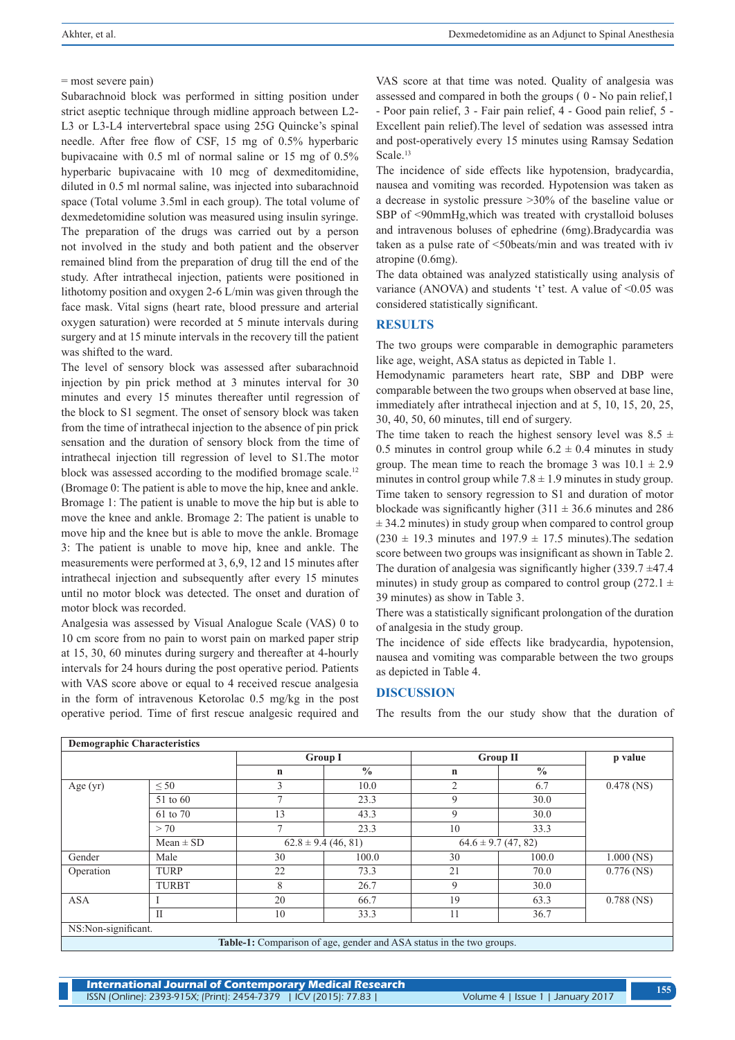= most severe pain)

Subarachnoid block was performed in sitting position under strict aseptic technique through midline approach between L2- L3 or L3-L4 intervertebral space using 25G Quincke's spinal needle. After free flow of CSF, 15 mg of 0.5% hyperbaric bupivacaine with 0.5 ml of normal saline or 15 mg of 0.5% hyperbaric bupivacaine with 10 mcg of dexmeditomidine, diluted in 0.5 ml normal saline, was injected into subarachnoid space (Total volume 3.5ml in each group). The total volume of dexmedetomidine solution was measured using insulin syringe. The preparation of the drugs was carried out by a person not involved in the study and both patient and the observer remained blind from the preparation of drug till the end of the study. After intrathecal injection, patients were positioned in lithotomy position and oxygen 2-6 L/min was given through the face mask. Vital signs (heart rate, blood pressure and arterial oxygen saturation) were recorded at 5 minute intervals during surgery and at 15 minute intervals in the recovery till the patient was shifted to the ward.

The level of sensory block was assessed after subarachnoid injection by pin prick method at 3 minutes interval for 30 minutes and every 15 minutes thereafter until regression of the block to S1 segment. The onset of sensory block was taken from the time of intrathecal injection to the absence of pin prick sensation and the duration of sensory block from the time of intrathecal injection till regression of level to S1.The motor block was assessed according to the modified bromage scale.<sup>12</sup> (Bromage 0: The patient is able to move the hip, knee and ankle. Bromage 1: The patient is unable to move the hip but is able to move the knee and ankle. Bromage 2: The patient is unable to move hip and the knee but is able to move the ankle. Bromage 3: The patient is unable to move hip, knee and ankle. The measurements were performed at 3, 6,9, 12 and 15 minutes after intrathecal injection and subsequently after every 15 minutes until no motor block was detected. The onset and duration of motor block was recorded.

Analgesia was assessed by Visual Analogue Scale (VAS) 0 to 10 cm score from no pain to worst pain on marked paper strip at 15, 30, 60 minutes during surgery and thereafter at 4-hourly intervals for 24 hours during the post operative period. Patients with VAS score above or equal to 4 received rescue analgesia in the form of intravenous Ketorolac 0.5 mg/kg in the post operative period. Time of first rescue analgesic required and

VAS score at that time was noted. Quality of analgesia was assessed and compared in both the groups ( 0 - No pain relief,1 - Poor pain relief, 3 - Fair pain relief, 4 - Good pain relief, 5 - Excellent pain relief).The level of sedation was assessed intra and post-operatively every 15 minutes using Ramsay Sedation Scale.<sup>13</sup>

The incidence of side effects like hypotension, bradycardia, nausea and vomiting was recorded. Hypotension was taken as a decrease in systolic pressure >30% of the baseline value or SBP of <90mmHg,which was treated with crystalloid boluses and intravenous boluses of ephedrine (6mg).Bradycardia was taken as a pulse rate of <50beats/min and was treated with iv atropine (0.6mg).

The data obtained was analyzed statistically using analysis of variance (ANOVA) and students 't' test. A value of  $\leq 0.05$  was considered statistically significant.

## **RESULTS**

The two groups were comparable in demographic parameters like age, weight, ASA status as depicted in Table 1.

Hemodynamic parameters heart rate, SBP and DBP were comparable between the two groups when observed at base line, immediately after intrathecal injection and at 5, 10, 15, 20, 25, 30, 40, 50, 60 minutes, till end of surgery.

The time taken to reach the highest sensory level was  $8.5 \pm$ 0.5 minutes in control group while  $6.2 \pm 0.4$  minutes in study group. The mean time to reach the bromage 3 was  $10.1 \pm 2.9$ minutes in control group while  $7.8 \pm 1.9$  minutes in study group. Time taken to sensory regression to S1 and duration of motor blockade was significantly higher  $(311 \pm 36.6 \text{ minutes and } 286$  $\pm$  34.2 minutes) in study group when compared to control group  $(230 \pm 19.3 \text{ minutes and } 197.9 \pm 17.5 \text{ minutes})$ . The sedation score between two groups was insignificant as shown in Table 2. The duration of analgesia was significantly higher  $(339.7 \pm 47.4)$ minutes) in study group as compared to control group (272.1  $\pm$ 39 minutes) as show in Table 3.

There was a statistically significant prolongation of the duration of analgesia in the study group.

The incidence of side effects like bradycardia, hypotension, nausea and vomiting was comparable between the two groups as depicted in Table 4.

## **DISCUSSION**

The results from the our study show that the duration of

| <b>Demographic Characteristics</b>                                   |                                          |                |                         |                 |               |              |
|----------------------------------------------------------------------|------------------------------------------|----------------|-------------------------|-----------------|---------------|--------------|
|                                                                      |                                          | <b>Group I</b> |                         | <b>Group II</b> |               | p value      |
|                                                                      |                                          | $\mathbf n$    | $\frac{0}{0}$           | n               | $\frac{0}{0}$ |              |
| Age (yr)                                                             | $\leq 50$                                | 3              | 10.0                    | $\overline{c}$  | 6.7           | $0.478$ (NS) |
|                                                                      | 51 to 60                                 | $\mathcal{I}$  | 23.3                    | 9               | 30.0          |              |
|                                                                      | 61 to 70                                 | 13             | 43.3                    | 9               | 30.0          |              |
|                                                                      | > 70                                     | $\mathcal{L}$  | 23.3                    | 10              | 33.3          |              |
|                                                                      | $62.8 \pm 9.4$ (46, 81)<br>$Mean \pm SD$ |                | $64.6 \pm 9.7$ (47, 82) |                 |               |              |
| Gender                                                               | Male                                     | 30             | 100.0                   | 30              | 100.0         | $1.000$ (NS) |
| Operation                                                            | <b>TURP</b>                              | 22             | 73.3                    | 21              | 70.0          | $0.776$ (NS) |
|                                                                      | <b>TURBT</b>                             | 8              | 26.7                    | 9               | 30.0          |              |
| <b>ASA</b>                                                           |                                          | 20             | 66.7                    | 19              | 63.3          | $0.788$ (NS) |
|                                                                      | П                                        | 10             | 33.3                    | 11              | 36.7          |              |
| NS:Non-significant.                                                  |                                          |                |                         |                 |               |              |
| Table-1: Comparison of age, gender and ASA status in the two groups. |                                          |                |                         |                 |               |              |

**International Journal of Contemporary Medical Research**  ISSN (Online): 2393-915X; (Print): 2454-7379 | ICV (2015): 77.83 | Volume 4 | Issue 1 | January 2017 **<sup>155</sup>**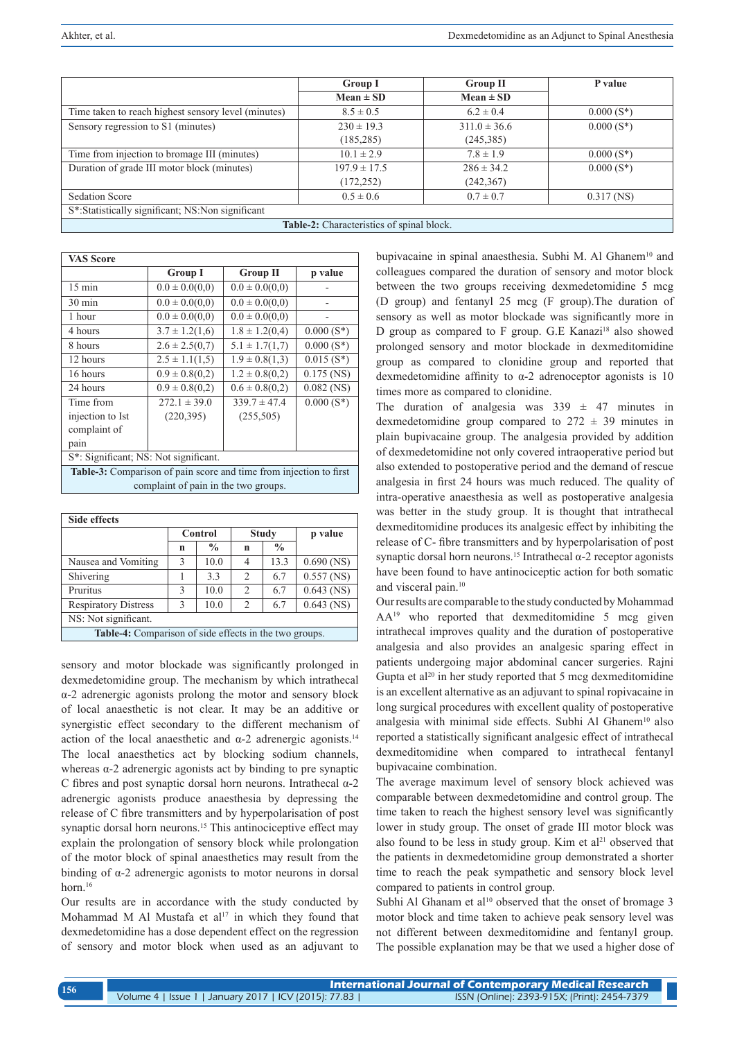|                                                     | <b>Group I</b>   | <b>Group II</b>  | P value      |  |  |
|-----------------------------------------------------|------------------|------------------|--------------|--|--|
|                                                     | $Mean \pm SD$    | $Mean \pm SD$    |              |  |  |
| Time taken to reach highest sensory level (minutes) | $8.5 \pm 0.5$    | $6.2 \pm 0.4$    | $0.000(S^*)$ |  |  |
| Sensory regression to S1 (minutes)                  | $230 \pm 19.3$   | $311.0 \pm 36.6$ | $0.000(S^*)$ |  |  |
|                                                     | (185, 285)       | (245, 385)       |              |  |  |
| Time from injection to bromage III (minutes)        | $10.1 \pm 2.9$   | $7.8 \pm 1.9$    | $0.000(S^*)$ |  |  |
| Duration of grade III motor block (minutes)         | $197.9 \pm 17.5$ | $286 \pm 34.2$   | $0.000(S^*)$ |  |  |
|                                                     | (172, 252)       | (242, 367)       |              |  |  |
| <b>Sedation Score</b>                               | $0.5 \pm 0.6$    | $0.7 \pm 0.7$    | $0.317$ (NS) |  |  |
| S*:Statistically significant; NS:Non significant    |                  |                  |              |  |  |
| Table-2: Characteristics of spinal block.           |                  |                  |              |  |  |

| <b>VAS Score</b>                                                   |                    |                    |              |  |  |
|--------------------------------------------------------------------|--------------------|--------------------|--------------|--|--|
|                                                                    | <b>Group I</b>     | <b>Group II</b>    | p value      |  |  |
| $15 \text{ min}$                                                   | $0.0 \pm 0.0(0.0)$ | $0.0 \pm 0.0(0.0)$ |              |  |  |
| $30 \text{ min}$                                                   | $0.0 \pm 0.0(0.0)$ | $0.0 \pm 0.0(0,0)$ |              |  |  |
| 1 hour                                                             | $0.0 \pm 0.0(0.0)$ | $0.0 \pm 0.0(0.0)$ |              |  |  |
| 4 hours                                                            | $3.7 \pm 1.2(1.6)$ | $1.8 \pm 1.2(0.4)$ | $0.000(S^*)$ |  |  |
| 8 hours                                                            | $2.6 \pm 2.5(0,7)$ | $5.1 \pm 1.7(1,7)$ | $0.000(S^*)$ |  |  |
| 12 hours                                                           | $2.5 \pm 1.1(1,5)$ | $1.9 \pm 0.8(1,3)$ | $0.015(S^*)$ |  |  |
| 16 hours                                                           | $0.9 \pm 0.8(0.2)$ | $1.2 \pm 0.8(0.2)$ | $0.175$ (NS) |  |  |
| 24 hours                                                           | $0.9 \pm 0.8(0.2)$ | $0.6 \pm 0.8(0.2)$ | $0.082$ (NS) |  |  |
| Time from                                                          | $272.1 \pm 39.0$   | $339.7 \pm 47.4$   | $0.000(S^*)$ |  |  |
| injection to Ist                                                   | (220, 395)         | (255, 505)         |              |  |  |
| complaint of                                                       |                    |                    |              |  |  |
| pain                                                               |                    |                    |              |  |  |
| S <sup>*</sup> : Significant; NS: Not significant.                 |                    |                    |              |  |  |
| Table-3: Comparison of pain score and time from injection to first |                    |                    |              |  |  |

complaint of pain in the two groups.

| Side effects                                           |         |               |                    |               |              |  |
|--------------------------------------------------------|---------|---------------|--------------------|---------------|--------------|--|
|                                                        | Control |               | <b>Study</b>       |               | p value      |  |
|                                                        | n       | $\frac{0}{0}$ | n                  | $\frac{0}{0}$ |              |  |
| Nausea and Vomiting                                    | 3       | 10.0          | 4                  | 13.3          | $0.690$ (NS) |  |
| Shivering                                              |         | 3.3           | $\mathfrak{D}_{1}$ | 6.7           | $0.557$ (NS) |  |
| Pruritus                                               | 3       | 10.0          | 2                  | 6.7           | $0.643$ (NS) |  |
| <b>Respiratory Distress</b>                            | 3       | 10.0          | 2                  | 6.7           | $0.643$ (NS) |  |
| NS: Not significant.                                   |         |               |                    |               |              |  |
| Table-4: Comparison of side effects in the two groups. |         |               |                    |               |              |  |

sensory and motor blockade was significantly prolonged in dexmedetomidine group. The mechanism by which intrathecal α-2 adrenergic agonists prolong the motor and sensory block of local anaesthetic is not clear. It may be an additive or synergistic effect secondary to the different mechanism of action of the local anaesthetic and  $\alpha$ -2 adrenergic agonists.<sup>14</sup> The local anaesthetics act by blocking sodium channels, whereas α-2 adrenergic agonists act by binding to pre synaptic C fibres and post synaptic dorsal horn neurons. Intrathecal α-2 adrenergic agonists produce anaesthesia by depressing the release of C fibre transmitters and by hyperpolarisation of post synaptic dorsal horn neurons.<sup>15</sup> This antinociceptive effect may explain the prolongation of sensory block while prolongation of the motor block of spinal anaesthetics may result from the binding of  $\alpha$ -2 adrenergic agonists to motor neurons in dorsal horn $16$ 

Our results are in accordance with the study conducted by Mohammad M Al Mustafa et  $al^{17}$  in which they found that dexmedetomidine has a dose dependent effect on the regression of sensory and motor block when used as an adjuvant to

bupivacaine in spinal anaesthesia. Subhi M. Al Ghanem<sup>10</sup> and colleagues compared the duration of sensory and motor block between the two groups receiving dexmedetomidine 5 mcg (D group) and fentanyl 25 mcg (F group).The duration of sensory as well as motor blockade was significantly more in D group as compared to  $F$  group. G.E Kanazi<sup>18</sup> also showed prolonged sensory and motor blockade in dexmeditomidine group as compared to clonidine group and reported that dexmedetomidine affinity to  $\alpha$ -2 adrenoceptor agonists is 10 times more as compared to clonidine.

The duration of analgesia was  $339 \pm 47$  minutes in dexmedetomidine group compared to  $272 \pm 39$  minutes in plain bupivacaine group. The analgesia provided by addition of dexmedetomidine not only covered intraoperative period but also extended to postoperative period and the demand of rescue analgesia in first 24 hours was much reduced. The quality of intra-operative anaesthesia as well as postoperative analgesia was better in the study group. It is thought that intrathecal dexmeditomidine produces its analgesic effect by inhibiting the release of C- fibre transmitters and by hyperpolarisation of post synaptic dorsal horn neurons.15 Intrathecal α-2 receptor agonists have been found to have antinociceptic action for both somatic and visceral pain.<sup>10</sup>

Our results are comparable to the study conducted by Mohammad AA<sup>19</sup> who reported that dexmeditomidine 5 mcg given intrathecal improves quality and the duration of postoperative analgesia and also provides an analgesic sparing effect in patients undergoing major abdominal cancer surgeries. Rajni Gupta et al<sup>20</sup> in her study reported that 5 mcg dexmeditomidine is an excellent alternative as an adjuvant to spinal ropivacaine in long surgical procedures with excellent quality of postoperative analgesia with minimal side effects. Subhi Al Ghanem<sup>10</sup> also reported a statistically significant analgesic effect of intrathecal dexmeditomidine when compared to intrathecal fentanyl bupivacaine combination.

The average maximum level of sensory block achieved was comparable between dexmedetomidine and control group. The time taken to reach the highest sensory level was significantly lower in study group. The onset of grade III motor block was also found to be less in study group. Kim et  $al<sup>21</sup>$  observed that the patients in dexmedetomidine group demonstrated a shorter time to reach the peak sympathetic and sensory block level compared to patients in control group.

Subhi Al Ghanam et al<sup>10</sup> observed that the onset of bromage 3 motor block and time taken to achieve peak sensory level was not different between dexmeditomidine and fentanyl group. The possible explanation may be that we used a higher dose of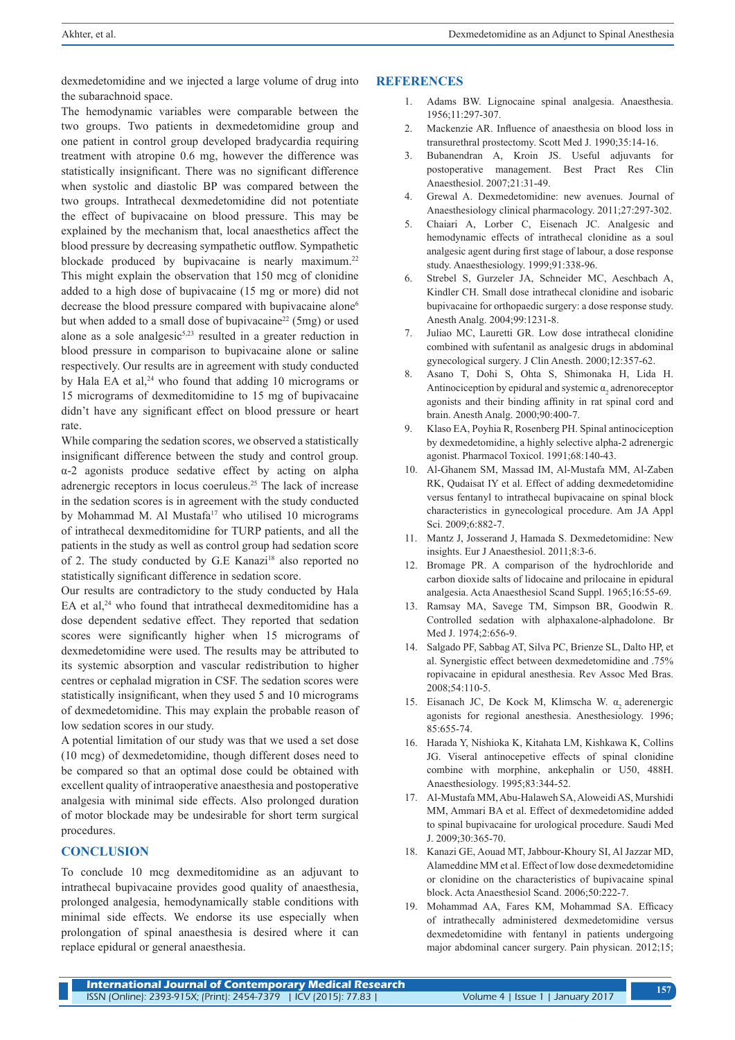dexmedetomidine and we injected a large volume of drug into the subarachnoid space.

The hemodynamic variables were comparable between the two groups. Two patients in dexmedetomidine group and one patient in control group developed bradycardia requiring treatment with atropine 0.6 mg, however the difference was statistically insignificant. There was no significant difference when systolic and diastolic BP was compared between the two groups. Intrathecal dexmedetomidine did not potentiate the effect of bupivacaine on blood pressure. This may be explained by the mechanism that, local anaesthetics affect the blood pressure by decreasing sympathetic outflow. Sympathetic blockade produced by bupivacaine is nearly maximum.<sup>22</sup> This might explain the observation that 150 mcg of clonidine added to a high dose of bupivacaine (15 mg or more) did not decrease the blood pressure compared with bupivacaine alone<sup>6</sup> but when added to a small dose of bupivacaine<sup>22</sup> (5mg) or used alone as a sole analgesic5,23 resulted in a greater reduction in blood pressure in comparison to bupivacaine alone or saline respectively. Our results are in agreement with study conducted by Hala EA et al,<sup>24</sup> who found that adding 10 micrograms or 15 micrograms of dexmeditomidine to 15 mg of bupivacaine didn't have any significant effect on blood pressure or heart rate.

While comparing the sedation scores, we observed a statistically insignificant difference between the study and control group. α-2 agonists produce sedative effect by acting on alpha adrenergic receptors in locus coeruleus.<sup>25</sup> The lack of increase in the sedation scores is in agreement with the study conducted by Mohammad M. Al Mustafa<sup>17</sup> who utilised 10 micrograms of intrathecal dexmeditomidine for TURP patients, and all the patients in the study as well as control group had sedation score of 2. The study conducted by G.E Kanazi<sup>18</sup> also reported no statistically significant difference in sedation score.

Our results are contradictory to the study conducted by Hala EA et al. $24$  who found that intrathecal dexmeditomidine has a dose dependent sedative effect. They reported that sedation scores were significantly higher when 15 micrograms of dexmedetomidine were used. The results may be attributed to its systemic absorption and vascular redistribution to higher centres or cephalad migration in CSF. The sedation scores were statistically insignificant, when they used 5 and 10 micrograms of dexmedetomidine. This may explain the probable reason of low sedation scores in our study.

A potential limitation of our study was that we used a set dose (10 mcg) of dexmedetomidine, though different doses need to be compared so that an optimal dose could be obtained with excellent quality of intraoperative anaesthesia and postoperative analgesia with minimal side effects. Also prolonged duration of motor blockade may be undesirable for short term surgical procedures.

## **CONCLUSION**

To conclude 10 mcg dexmeditomidine as an adjuvant to intrathecal bupivacaine provides good quality of anaesthesia, prolonged analgesia, hemodynamically stable conditions with minimal side effects. We endorse its use especially when prolongation of spinal anaesthesia is desired where it can replace epidural or general anaesthesia.

#### **REFERENCES**

- 1. Adams BW. Lignocaine spinal analgesia. Anaesthesia. 1956;11:297-307.
- 2. Mackenzie AR. Influence of anaesthesia on blood loss in transurethral prostectomy. Scott Med J. 1990;35:14-16.
- 3. Bubanendran A, Kroin JS. Useful adjuvants for postoperative management. Best Pract Res Clin Anaesthesiol. 2007;21:31-49.
- 4. Grewal A. Dexmedetomidine: new avenues. Journal of Anaesthesiology clinical pharmacology. 2011;27:297-302.
- 5. Chaiari A, Lorber C, Eisenach JC. Analgesic and hemodynamic effects of intrathecal clonidine as a soul analgesic agent during first stage of labour, a dose response study. Anaesthesiology. 1999;91:338-96.
- 6. Strebel S, Gurzeler JA, Schneider MC, Aeschbach A, Kindler CH. Small dose intrathecal clonidine and isobaric bupivacaine for orthopaedic surgery: a dose response study. Anesth Analg. 2004;99:1231-8.
- 7. Juliao MC, Lauretti GR. Low dose intrathecal clonidine combined with sufentanil as analgesic drugs in abdominal gynecological surgery. J Clin Anesth. 2000;12:357-62.
- 8. Asano T, Dohi S, Ohta S, Shimonaka H, Lida H. Antinociception by epidural and systemic  $\alpha_2$  adrenoreceptor agonists and their binding affinity in rat spinal cord and brain. Anesth Analg. 2000;90:400-7.
- 9. Klaso EA, Poyhia R, Rosenberg PH. Spinal antinociception by dexmedetomidine, a highly selective alpha-2 adrenergic agonist. Pharmacol Toxicol. 1991;68:140-43.
- 10. Al-Ghanem SM, Massad IM, Al-Mustafa MM, Al-Zaben RK, Qudaisat IY et al. Effect of adding dexmedetomidine versus fentanyl to intrathecal bupivacaine on spinal block characteristics in gynecological procedure. Am JA Appl Sci. 2009:6:882-7.
- 11. Mantz J, Josserand J, Hamada S. Dexmedetomidine: New insights. Eur J Anaesthesiol. 2011;8:3-6.
- Bromage PR. A comparison of the hydrochloride and carbon dioxide salts of lidocaine and prilocaine in epidural analgesia. Acta Anaesthesiol Scand Suppl. 1965;16:55-69.
- 13. Ramsay MA, Savege TM, Simpson BR, Goodwin R. Controlled sedation with alphaxalone-alphadolone. Br Med J. 1974;2:656-9.
- 14. Salgado PF, Sabbag AT, Silva PC, Brienze SL, Dalto HP, et al. Synergistic effect between dexmedetomidine and .75% ropivacaine in epidural anesthesia. Rev Assoc Med Bras. 2008;54:110-5.
- 15. Eisanach JC, De Kock M, Klimscha W. α<sub>2</sub> aderenergic agonists for regional anesthesia. Anesthesiology. 1996; 85:655-74.
- 16. Harada Y, Nishioka K, Kitahata LM, Kishkawa K, Collins JG. Viseral antinocepetive effects of spinal clonidine combine with morphine, ankephalin or U50, 488H. Anaesthesiology. 1995;83:344-52.
- 17. Al-Mustafa MM, Abu-Halaweh SA, Aloweidi AS, Murshidi MM, Ammari BA et al. Effect of dexmedetomidine added to spinal bupivacaine for urological procedure. Saudi Med J. 2009;30:365-70.
- 18. Kanazi GE, Aouad MT, Jabbour-Khoury SI, Al Jazzar MD, Alameddine MM et al. Effect of low dose dexmedetomidine or clonidine on the characteristics of bupivacaine spinal block. Acta Anaesthesiol Scand. 2006;50:222-7.
- 19. Mohammad AA, Fares KM, Mohammad SA. Efficacy of intrathecally administered dexmedetomidine versus dexmedetomidine with fentanyl in patients undergoing major abdominal cancer surgery. Pain physican. 2012;15;